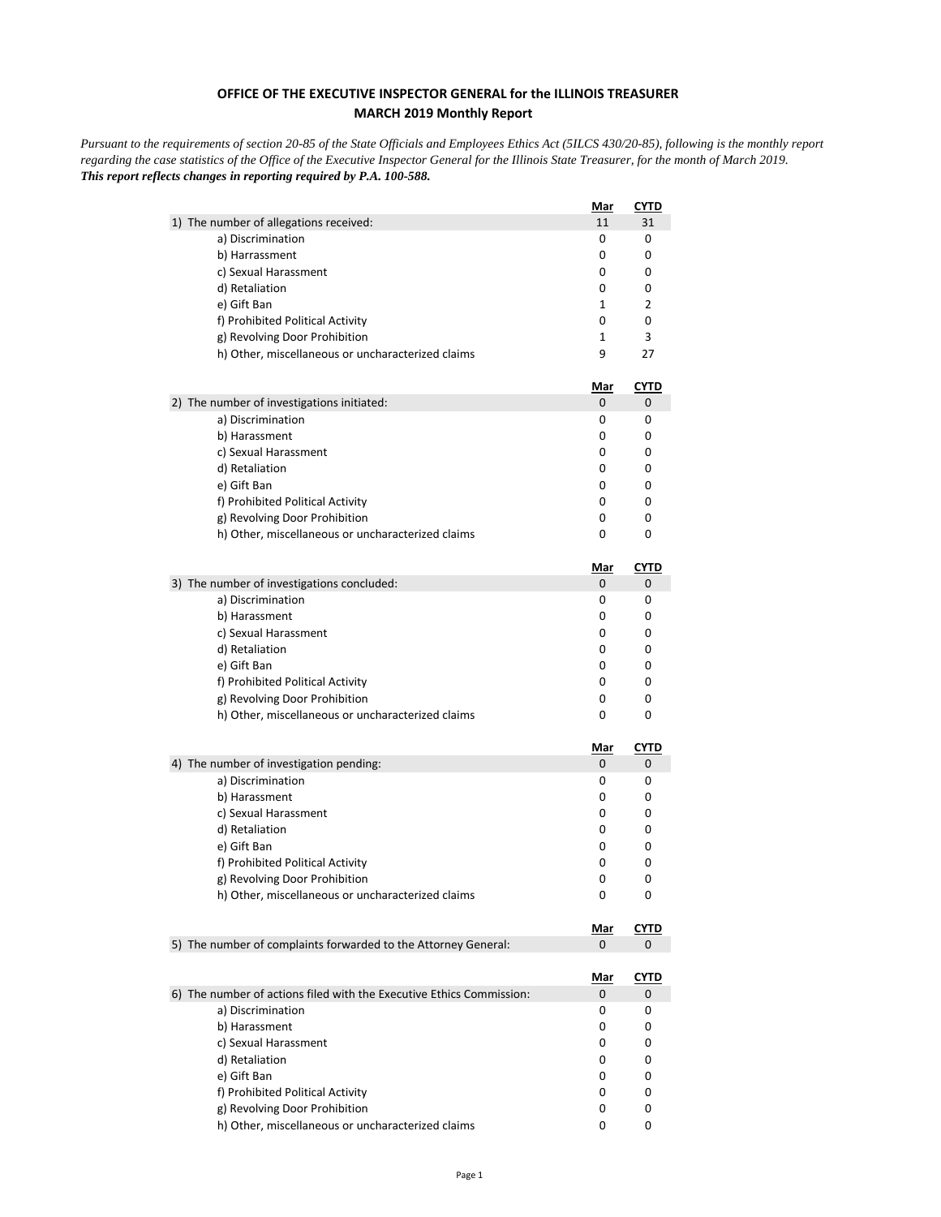## **OFFICE OF THE EXECUTIVE INSPECTOR GENERAL for the ILLINOIS TREASURER MARCH 2019 Monthly Report**

*Pursuant to the requirements of section 20-85 of the State Officials and Employees Ethics Act (5ILCS 430/20-85), following is the monthly report regarding the case statistics of the Office of the Executive Inspector General for the Illinois State Treasurer, for the month of March 2019. This report reflects changes in reporting required by P.A. 100-588.*

|                                                                                    | Mar             | <b>CYTD</b> |
|------------------------------------------------------------------------------------|-----------------|-------------|
| 1) The number of allegations received:                                             | 11              | 31          |
| a) Discrimination                                                                  | 0               | 0           |
| b) Harrassment                                                                     | 0               | 0           |
| c) Sexual Harassment                                                               | 0               | 0           |
| d) Retaliation                                                                     | 0               | 0           |
| e) Gift Ban                                                                        | 1               | 2           |
| f) Prohibited Political Activity                                                   | 0               | 0           |
| g) Revolving Door Prohibition                                                      | 1               | 3           |
| h) Other, miscellaneous or uncharacterized claims                                  | 9               | 27          |
|                                                                                    | <u>Mar</u>      | <u>CYTD</u> |
| 2) The number of investigations initiated:                                         | 0               | 0           |
| a) Discrimination                                                                  | 0               | 0           |
| b) Harassment                                                                      | 0               | 0           |
| c) Sexual Harassment                                                               | 0               | 0           |
| d) Retaliation                                                                     | 0               | 0           |
| e) Gift Ban                                                                        | 0               | 0           |
| f) Prohibited Political Activity                                                   | 0               | 0           |
| g) Revolving Door Prohibition                                                      | 0               | 0           |
| h) Other, miscellaneous or uncharacterized claims                                  | 0               | 0           |
|                                                                                    | <u>Mar</u>      | <b>CYTD</b> |
| 3) The number of investigations concluded:                                         | 0               | 0           |
| a) Discrimination                                                                  | 0               | 0           |
| b) Harassment                                                                      | 0               | 0           |
| c) Sexual Harassment                                                               | 0               | 0           |
| d) Retaliation                                                                     | 0               | 0           |
| e) Gift Ban                                                                        | 0               | 0           |
| f) Prohibited Political Activity                                                   | 0               | 0           |
| g) Revolving Door Prohibition                                                      | 0               | 0           |
| h) Other, miscellaneous or uncharacterized claims                                  | 0               | 0           |
|                                                                                    | <u>Mar</u>      | <b>CYTD</b> |
| 4) The number of investigation pending:                                            | 0               | 0           |
| a) Discrimination                                                                  | 0               | 0           |
| b) Harassment                                                                      | 0               | 0           |
| c) Sexual Harassment                                                               | 0               | 0           |
| d) Retaliation                                                                     | 0               | 0           |
| e) Gift Ban                                                                        | 0               | 0           |
| f) Prohibited Political Activity                                                   | 0               | 0           |
| g) Revolving Door Prohibition<br>h) Other, miscellaneous or uncharacterized claims | 0<br>0          | 0<br>0      |
|                                                                                    |                 |             |
|                                                                                    | <u>Mar</u><br>0 | <b>CYTD</b> |
| 5) The number of complaints forwarded to the Attorney General:                     |                 | 0           |
|                                                                                    | <u>Mar</u>      | <u>CYTD</u> |
| 6) The number of actions filed with the Executive Ethics Commission:               | 0               | 0           |
| a) Discrimination                                                                  | 0               | 0           |
| b) Harassment                                                                      | 0               | 0           |
| c) Sexual Harassment                                                               | 0               | 0           |
| d) Retaliation                                                                     | 0               | 0           |
| e) Gift Ban                                                                        | 0               | 0           |
| f) Prohibited Political Activity                                                   | 0               | 0           |
| g) Revolving Door Prohibition                                                      | 0               | 0           |
| h) Other, miscellaneous or uncharacterized claims                                  | 0               | 0           |